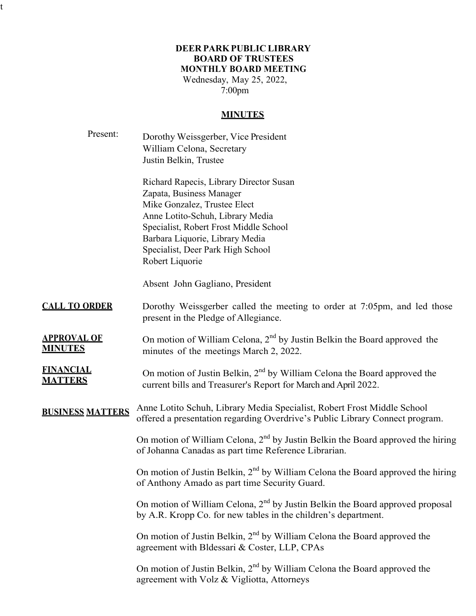# **DEER PARKPUBLIC LIBRARY BOARD OF TRUSTEES MONTHLY BOARD MEETING**

Wednesday, May 25, 2022, 7:00pm

t

#### **MINUTES**

| Present:                             | Dorothy Weissgerber, Vice President<br>William Celona, Secretary<br>Justin Belkin, Trustee                                                                                                                                                                                   |
|--------------------------------------|------------------------------------------------------------------------------------------------------------------------------------------------------------------------------------------------------------------------------------------------------------------------------|
|                                      | Richard Rapecis, Library Director Susan<br>Zapata, Business Manager<br>Mike Gonzalez, Trustee Elect<br>Anne Lotito-Schuh, Library Media<br>Specialist, Robert Frost Middle School<br>Barbara Liquorie, Library Media<br>Specialist, Deer Park High School<br>Robert Liquorie |
|                                      | Absent John Gagliano, President                                                                                                                                                                                                                                              |
| <b>CALL TO ORDER</b>                 | Dorothy Weissgerber called the meeting to order at 7:05pm, and led those<br>present in the Pledge of Allegiance.                                                                                                                                                             |
| <b>APPROVAL OF</b><br><b>MINUTES</b> | On motion of William Celona, $2nd$ by Justin Belkin the Board approved the<br>minutes of the meetings March 2, 2022.                                                                                                                                                         |
| <b>FINANCIAL</b><br><b>MATTERS</b>   | On motion of Justin Belkin, 2 <sup>nd</sup> by William Celona the Board approved the<br>current bills and Treasurer's Report for March and April 2022.                                                                                                                       |
| <b>BUSINESS MATTERS</b>              | Anne Lotito Schuh, Library Media Specialist, Robert Frost Middle School<br>offered a presentation regarding Overdrive's Public Library Connect program.                                                                                                                      |
|                                      | On motion of William Celona, $2nd$ by Justin Belkin the Board approved the hiring<br>of Johanna Canadas as part time Reference Librarian.                                                                                                                                    |
|                                      | On motion of Justin Belkin, 2 <sup>nd</sup> by William Celona the Board approved the hiring<br>of Anthony Amado as part time Security Guard.                                                                                                                                 |
|                                      | On motion of William Celona, 2 <sup>nd</sup> by Justin Belkin the Board approved proposal<br>by A.R. Kropp Co. for new tables in the children's department.                                                                                                                  |
|                                      | On motion of Justin Belkin, $2nd$ by William Celona the Board approved the<br>agreement with Bldessari & Coster, LLP, CPAs                                                                                                                                                   |
|                                      | On motion of Justin Belkin, 2 <sup>nd</sup> by William Celona the Board approved the<br>agreement with Volz & Vigliotta, Attorneys                                                                                                                                           |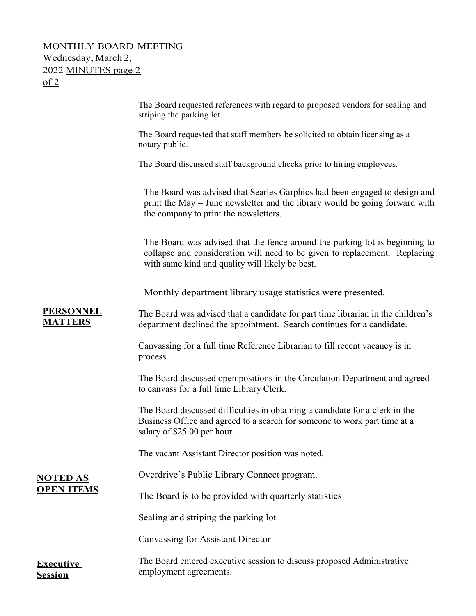# MONTHLY BOARD MEETING Wednesday, March 2, 2022 MINUTES page 2  $of 2$

|                                    | The Board requested references with regard to proposed vendors for sealing and<br>striping the parking lot.                                                                                                  |
|------------------------------------|--------------------------------------------------------------------------------------------------------------------------------------------------------------------------------------------------------------|
|                                    | The Board requested that staff members be solicited to obtain licensing as a<br>notary public.                                                                                                               |
|                                    | The Board discussed staff background checks prior to hiring employees.                                                                                                                                       |
|                                    | The Board was advised that Searles Garphics had been engaged to design and<br>print the May – June newsletter and the library would be going forward with<br>the company to print the newsletters.           |
|                                    | The Board was advised that the fence around the parking lot is beginning to<br>collapse and consideration will need to be given to replacement. Replacing<br>with same kind and quality will likely be best. |
|                                    | Monthly department library usage statistics were presented.                                                                                                                                                  |
| <b>PERSONNEL</b><br><b>MATTERS</b> | The Board was advised that a candidate for part time librarian in the children's<br>department declined the appointment. Search continues for a candidate.                                                   |
|                                    | Canvassing for a full time Reference Librarian to fill recent vacancy is in<br>process.                                                                                                                      |
|                                    | The Board discussed open positions in the Circulation Department and agreed<br>to canvass for a full time Library Clerk.                                                                                     |
|                                    | The Board discussed difficulties in obtaining a candidate for a clerk in the<br>Business Office and agreed to a search for someone to work part time at a<br>salary of \$25.00 per hour.                     |
|                                    | The vacant Assistant Director position was noted.                                                                                                                                                            |
| <b>NOTED AS</b>                    | Overdrive's Public Library Connect program.                                                                                                                                                                  |
| <b>OPEN ITEMS</b>                  | The Board is to be provided with quarterly statistics                                                                                                                                                        |
|                                    | Sealing and striping the parking lot                                                                                                                                                                         |
|                                    | Canvassing for Assistant Director                                                                                                                                                                            |
| <b>Executive</b><br><b>Session</b> | The Board entered executive session to discuss proposed Administrative<br>employment agreements.                                                                                                             |